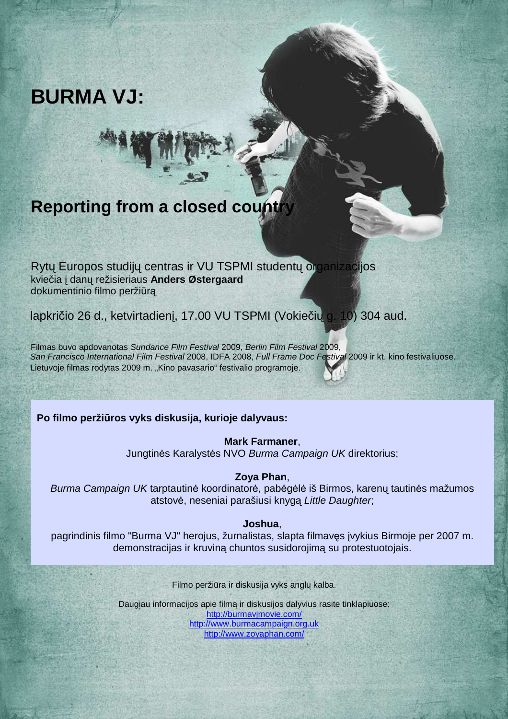

## **Reporting from a closed count**

Rytų Europos studijų centras ir VU TSPMI studentų organizacijos kviečia į danų režisieriaus **Anders Østergaard**  dokumentinio filmo peržiūrą

lapkričio 26 d., ketvirtadienį, 17.00 VU TSPMI (Vokiečių g. 10) 304 aud.

Filmas buvo apdovanotas Sundance Film Festival 2009, Berlin Film Festival 2009, San Francisco International Film Festival 2008, IDFA 2008, Full Frame Doc Festival 2009 ir kt. kino festivaliuose. Lietuvoje filmas rodytas 2009 m. "Kino pavasario" festivalio programoje.

**Po filmo peržiūros vyks diskusija, kurioje dalyvaus:**

**Mark Farmaner**, Jungtinės Karalystės NVO Burma Campaign UK direktorius;

## **Zoya Phan**,

Burma Campaign UK tarptautinė koordinatorė, pabėgėlė iš Birmos, karenų tautinės mažumos atstovė, neseniai parašiusi knygą Little Daughter;

## **Joshua**,

pagrindinis filmo "Burma VJ" herojus, žurnalistas, slapta filmavęs įvykius Birmoje per 2007 m. demonstracijas ir kruviną chuntos susidorojimą su protestuotojais.

Filmo peržiūra ir diskusija vyks anglų kalba.

Daugiau informacijos apie filmą ir diskusijos dalyvius rasite tinklapiuose: http://burmavjmovie.com/ http://www.burmacampaign.org.uk http://www.zoyaphan.com/